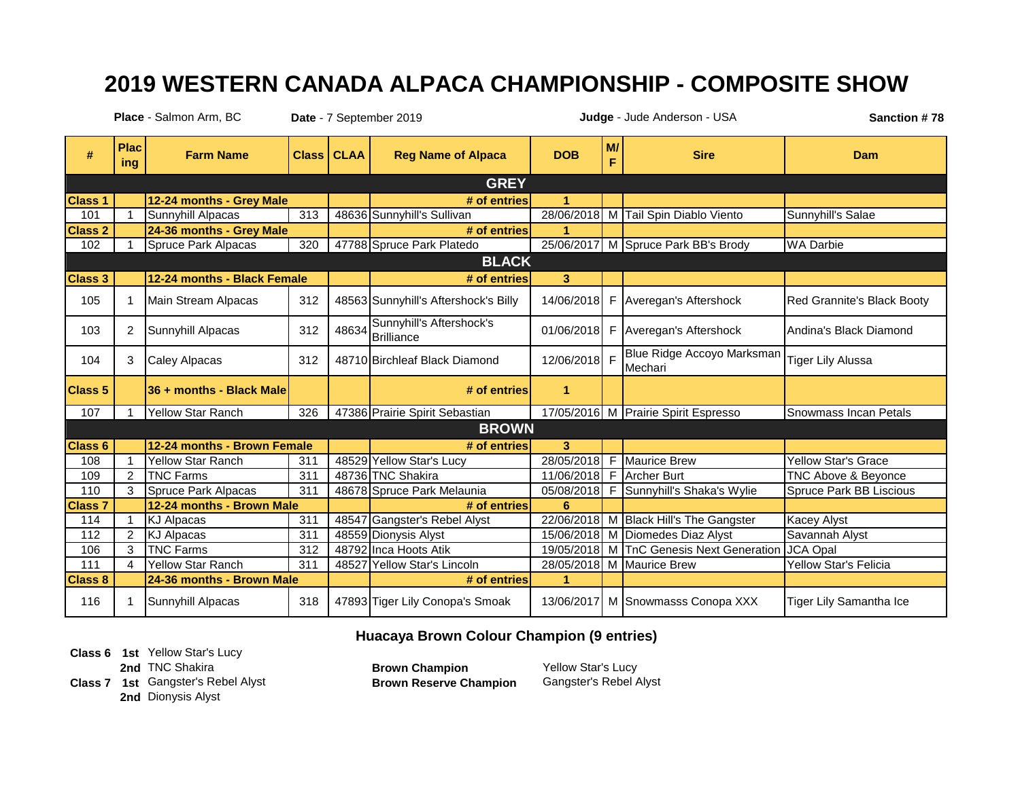## **2019 WESTERN CANADA ALPACA CHAMPIONSHIP - COMPOSITE SHOW**

**Date** - 7 September 2019 **Sanction # 78 Place** - Salmon Arm, BC **Judge** - Jude Anderson - USA

| #              | <b>Plac</b><br>ing     | <b>Farm Name</b>            | <b>Class</b> | <b>CLAA</b> | <b>Reg Name of Alpaca</b>                    | <b>DOB</b>           | M/<br>F | <b>Sire</b>                            | Dam                            |  |  |
|----------------|------------------------|-----------------------------|--------------|-------------|----------------------------------------------|----------------------|---------|----------------------------------------|--------------------------------|--|--|
| <b>GREY</b>    |                        |                             |              |             |                                              |                      |         |                                        |                                |  |  |
| <b>Class 1</b> |                        | 12-24 months - Grey Male    |              |             | # of entries                                 | $\mathbf{1}$         |         |                                        |                                |  |  |
| 101            |                        | Sunnyhill Alpacas           | 313          |             | 48636 Sunnyhill's Sullivan                   |                      |         | 28/06/2018 M Tail Spin Diablo Viento   | Sunnyhill's Salae              |  |  |
| <b>Class 2</b> |                        | 24-36 months - Grey Male    |              |             | # of entries                                 | 1                    |         |                                        |                                |  |  |
| 102            |                        | Spruce Park Alpacas         | 320          |             | 47788 Spruce Park Platedo                    |                      |         | 25/06/2017 M Spruce Park BB's Brody    | <b>WA Darbie</b>               |  |  |
|                |                        |                             |              |             | <b>BLACK</b>                                 |                      |         |                                        |                                |  |  |
| <b>Class 3</b> |                        | 12-24 months - Black Female |              |             | # of entries                                 | 3                    |         |                                        |                                |  |  |
| 105            | 1                      | Main Stream Alpacas         | 312          |             | 48563 Sunnyhill's Aftershock's Billy         | 14/06/2018           |         | F Averegan's Aftershock                | Red Grannite's Black Booty     |  |  |
| 103            | 2                      | Sunnyhill Alpacas           | 312          |             | Sunnyhill's Aftershock's<br>48634 Brilliance | 01/06/2018           |         | F Averegan's Aftershock                | Andina's Black Diamond         |  |  |
| 104            | 3                      | Caley Alpacas               | 312          |             | 48710 Birchleaf Black Diamond                | 12/06/2018 F         |         | Blue Ridge Accoyo Marksman<br>Mechari  | <b>Tiger Lily Alussa</b>       |  |  |
| <b>Class 5</b> |                        | 36 + months - Black Male    |              |             | # of entries                                 | $\blacktriangleleft$ |         |                                        |                                |  |  |
| 107            |                        | Yellow Star Ranch           | 326          |             | 47386 Prairie Spirit Sebastian               |                      |         | 17/05/2016 M Prairie Spirit Espresso   | Snowmass Incan Petals          |  |  |
|                |                        |                             |              |             | <b>BROWN</b>                                 |                      |         |                                        |                                |  |  |
| <b>Class 6</b> |                        | 12-24 months - Brown Female |              |             | # of entries                                 | 3                    |         |                                        |                                |  |  |
| 108            |                        | <b>Yellow Star Ranch</b>    | 311          |             | 48529 Yellow Star's Lucy                     | 28/05/2018           |         | F Maurice Brew                         | <b>Yellow Star's Grace</b>     |  |  |
| 109            | $\overline{2}$         | <b>TNC Farms</b>            | 311          |             | 48736 TNC Shakira                            |                      |         | 11/06/2018 F Archer Burt               | TNC Above & Beyonce            |  |  |
| 110            | 3                      | Spruce Park Alpacas         | 311          |             | 48678 Spruce Park Melaunia                   | 05/08/2018           | F       | Sunnyhill's Shaka's Wylie              | <b>Spruce Park BB Liscious</b> |  |  |
| <b>Class 7</b> |                        | 12-24 months - Brown Male   |              |             | # of entries                                 | 6                    |         |                                        |                                |  |  |
| 114            |                        | KJ Alpacas                  | 311          |             | 48547 Gangster's Rebel Alyst                 |                      |         | 22/06/2018 M Black Hill's The Gangster | Kacey Alyst                    |  |  |
| 112            | $\overline{2}$         | <b>KJ Alpacas</b>           | 311          |             | 48559 Dionysis Alyst                         | 15/06/2018           |         | M Diomedes Diaz Alyst                  | Savannah Alyst                 |  |  |
| 106            | 3                      | <b>TNC Farms</b>            | 312          |             | 48792 Inca Hoots Atik                        | 19/05/2018           |         | M TnC Genesis Next Generation          | JCA Opal                       |  |  |
| 111            | $\boldsymbol{\Lambda}$ | <b>Yellow Star Ranch</b>    | 311          |             | 48527 Yellow Star's Lincoln                  | 28/05/2018           |         | M Maurice Brew                         | <b>Yellow Star's Felicia</b>   |  |  |
| <b>Class 8</b> |                        | 24-36 months - Brown Male   |              |             | # of entries                                 |                      |         |                                        |                                |  |  |
| 116            |                        | Sunnyhill Alpacas           | 318          |             | 47893 Tiger Lily Conopa's Smoak              |                      |         | 13/06/2017 M Snowmasss Conopa XXX      | Tiger Lily Samantha Ice        |  |  |

**Huacaya Brown Colour Champion (9 entries)**

**Class 6 1st** Yellow Star's Lucy **2nd TNC** Shakira **Brown Champion** 

**Class 7 1st Gangster's Rebel Alyst 2nd** Dionysis Alyst

Brown Reserve Champion Gangster's Rebel Alyst

Yellow Star's Lucy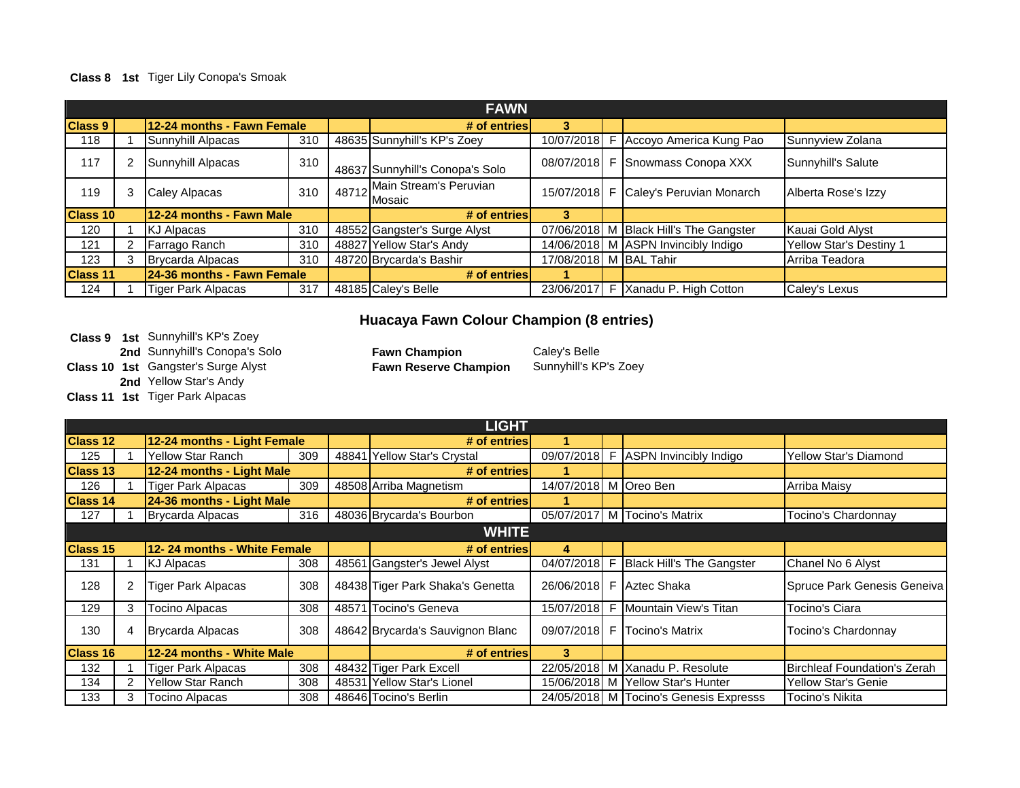### **Class 8 1st** Tiger Lily Conopa's Smoak

| <b>FAWN</b>     |                            |                            |     |  |                                                        |                        |  |                                        |                                |  |
|-----------------|----------------------------|----------------------------|-----|--|--------------------------------------------------------|------------------------|--|----------------------------------------|--------------------------------|--|
| <b>Class 9</b>  | 12-24 months - Fawn Female |                            |     |  | # of entries                                           | 3                      |  |                                        |                                |  |
| 118             |                            | Sunnyhill Alpacas          | 310 |  | 48635 Sunnyhill's KP's Zoey                            | 10/07/2018 F           |  | Accoyo America Kung Pao                | Sunnyview Zolana               |  |
| 117             |                            | Sunnyhill Alpacas          | 310 |  | 48637 Sunnyhill's Conopa's Solo                        |                        |  | 08/07/2018 F Snowmass Conopa XXX       | Sunnyhill's Salute             |  |
| 119             | 3                          | Caley Alpacas              | 310 |  | J s Conop⊾<br>1 48712 Main Stream's Peruvian<br>Mosaic |                        |  | 15/07/2018 F Caley's Peruvian Monarch  | Alberta Rose's Izzy            |  |
| <b>Class 10</b> |                            | 12-24 months - Fawn Male   |     |  | # of entries                                           | 3                      |  |                                        |                                |  |
| 120             |                            | <b>KJ Alpacas</b>          | 310 |  | 48552 Gangster's Surge Alyst                           |                        |  | 07/06/2018 M Black Hill's The Gangster | Kauai Gold Alyst               |  |
| 121             |                            | Farrago Ranch              | 310 |  | 48827 Yellow Star's Andy                               |                        |  | 14/06/2018 M ASPN Invincibly Indigo    | <b>Yellow Star's Destiny 1</b> |  |
| 123             |                            | Brycarda Alpacas           | 310 |  | 48720 Brycarda's Bashir                                | 17/08/2018 M BAL Tahir |  |                                        | Arriba Teadora                 |  |
| <b>Class 11</b> |                            | 24-36 months - Fawn Female |     |  | # of entries                                           |                        |  |                                        |                                |  |
| 124             |                            | <b>Tiger Park Alpacas</b>  | 317 |  | 48185 Caley's Belle                                    |                        |  | 23/06/2017 F Xanadu P. High Cotton     | Caley's Lexus                  |  |

### **Huacaya Fawn Colour Champion (8 entries)**

**Class 9 1st** Sunnyhill's KP's Zoey **2nd** Sunnyhill's Conopa's Solo **Fawn Champion** Caley's Belle

**Class 10 1st** Gangster's Surge Alyst

**2nd** Yellow Star's Andy

**Class 11 1st** Tiger Park Alpacas

Fawn Reserve Champion Sunnyhill's KP's Zoey

|                 |   |                             |     | <b>LIGHT</b>                     |                       |   |                                        |                              |
|-----------------|---|-----------------------------|-----|----------------------------------|-----------------------|---|----------------------------------------|------------------------------|
| <b>Class 12</b> |   | 12-24 months - Light Female |     | # of entries                     |                       |   |                                        |                              |
| 125             |   | <b>Yellow Star Ranch</b>    | 309 | 48841 Yellow Star's Crystal      |                       |   | 09/07/2018 F ASPN Invincibly Indigo    | Yellow Star's Diamond        |
| <b>Class 13</b> |   | 12-24 months - Light Male   |     | # of entries                     |                       |   |                                        |                              |
| 126             |   | <b>Tiger Park Alpacas</b>   | 309 | 48508 Arriba Magnetism           | 14/07/2018 M Oreo Ben |   |                                        | Arriba Maisy                 |
| <b>Class 14</b> |   | 24-36 months - Light Male   |     | # of entries                     |                       |   |                                        |                              |
| 127             |   | Brycarda Alpacas            | 316 | 48036 Brycarda's Bourbon         |                       |   | 05/07/2017 M Tocino's Matrix           | Tocino's Chardonnay          |
|                 |   |                             |     | <b>WHITE</b>                     |                       |   |                                        |                              |
| <b>Class 15</b> |   | 12-24 months - White Female |     | # of entries                     | 4                     |   |                                        |                              |
| 131             |   | KJ Alpacas                  | 308 | 48561 Gangster's Jewel Alyst     | 04/07/2018 F          |   | <b>Black Hill's The Gangster</b>       | Chanel No 6 Alyst            |
| 128             |   | <b>Tiger Park Alpacas</b>   | 308 | 48438 Tiger Park Shaka's Genetta |                       |   | 26/06/2018 F Aztec Shaka               | Spruce Park Genesis Geneiva  |
| 129             | 3 | <b>Tocino Alpacas</b>       | 308 | 48571 Tocino's Geneva            | 15/07/2018            | F | Mountain View's Titan                  | Tocino's Ciara               |
| 130             |   | Brycarda Alpacas            | 308 | 48642 Brycarda's Sauvignon Blanc |                       |   | 09/07/2018 F Tocino's Matrix           | Tocino's Chardonnay          |
| <b>Class 16</b> |   | 12-24 months - White Male   |     | # of entries                     | 3                     |   |                                        |                              |
| 132             |   | Tiger Park Alpacas          | 308 | 48432 Tiger Park Excell          |                       |   | 22/05/2018 M Xanadu P. Resolute        | Birchleaf Foundation's Zerah |
| 134             |   | Yellow Star Ranch           | 308 | 48531 Yellow Star's Lionel       |                       |   | 15/06/2018 M Yellow Star's Hunter      | <b>Yellow Star's Genie</b>   |
| 133             |   | Tocino Alpacas              | 308 | 48646 Tocino's Berlin            |                       |   | 24/05/2018 M Tocino's Genesis Expresss | Tocino's Nikita              |